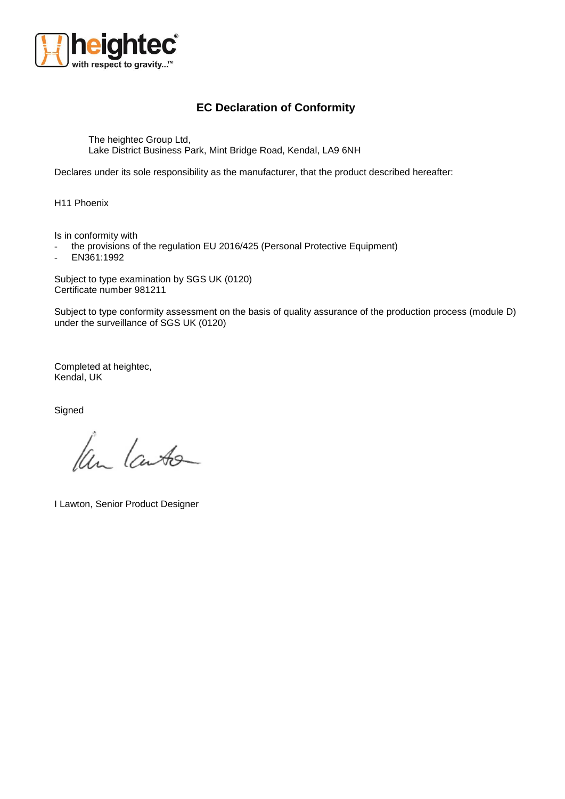

## **EC Declaration of Conformity**

The heightec Group Ltd, Lake District Business Park, Mint Bridge Road, Kendal, LA9 6NH

Declares under its sole responsibility as the manufacturer, that the product described hereafter:

H11 Phoenix

Is in conformity with

- the provisions of the regulation EU 2016/425 (Personal Protective Equipment)

EN361:1992

Subject to type examination by SGS UK (0120) Certificate number 981211

Subject to type conformity assessment on the basis of quality assurance of the production process (module D) under the surveillance of SGS UK (0120)

Completed at heightec, Kendal, UK

**Signed** 

Ken Lauto

I Lawton, Senior Product Designer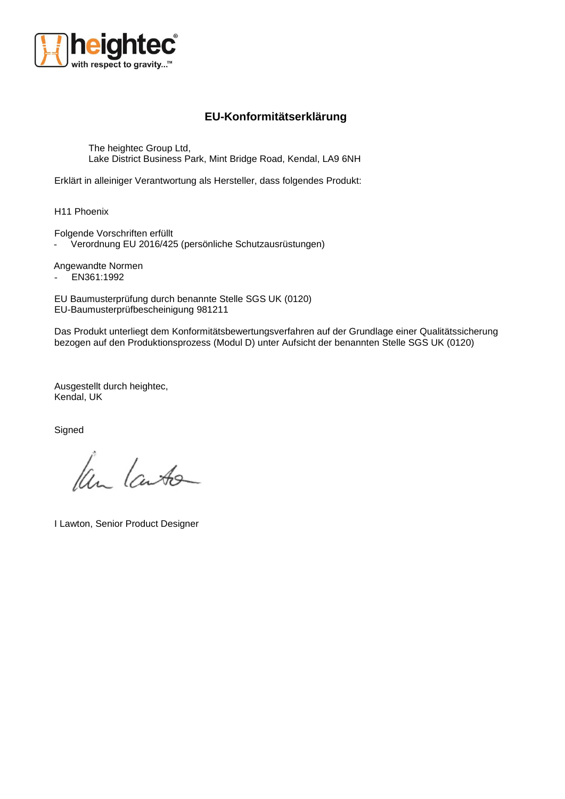

## **EU-Konformitätserklärung**

The heightec Group Ltd, Lake District Business Park, Mint Bridge Road, Kendal, LA9 6NH

Erklärt in alleiniger Verantwortung als Hersteller, dass folgendes Produkt:

H11 Phoenix

Folgende Vorschriften erfüllt

- Verordnung EU 2016/425 (persönliche Schutzausrüstungen)

Angewandte Normen

- EN361:1992

EU Baumusterprüfung durch benannte Stelle SGS UK (0120) EU-Baumusterprüfbescheinigung 981211

Das Produkt unterliegt dem Konformitätsbewertungsverfahren auf der Grundlage einer Qualitätssicherung bezogen auf den Produktionsprozess (Modul D) unter Aufsicht der benannten Stelle SGS UK (0120)

Ausgestellt durch heightec, Kendal, UK

**Signed** 

Ken Lauto

I Lawton, Senior Product Designer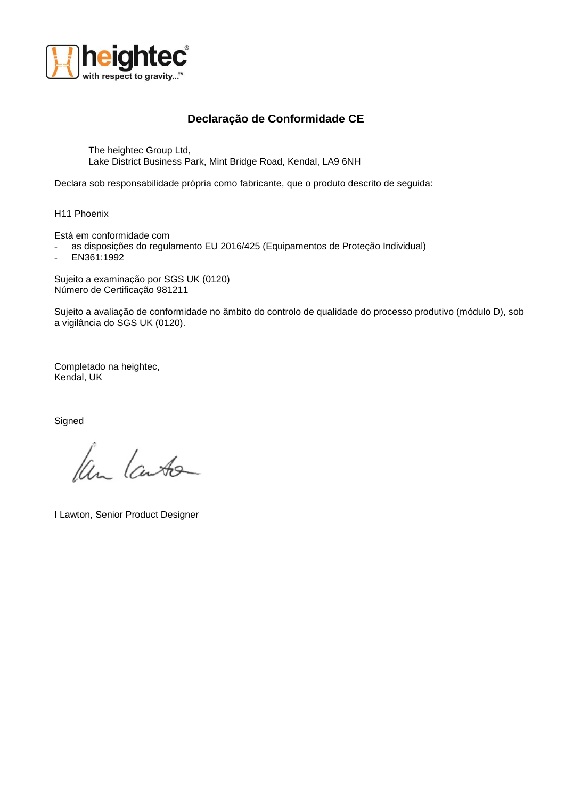

## **Declaração de Conformidade CE**

The heightec Group Ltd, Lake District Business Park, Mint Bridge Road, Kendal, LA9 6NH

Declara sob responsabilidade própria como fabricante, que o produto descrito de seguida:

H11 Phoenix

Está em conformidade com

- as disposições do regulamento EU 2016/425 (Equipamentos de Proteção Individual)
- $-$  EN361:1992

Sujeito a examinação por SGS UK (0120) Número de Certificação 981211

Sujeito a avaliação de conformidade no âmbito do controlo de qualidade do processo produtivo (módulo D), sob a vigilância do SGS UK (0120).

Completado na heightec, Kendal, UK

**Signed** 

Ken Lauto

I Lawton, Senior Product Designer